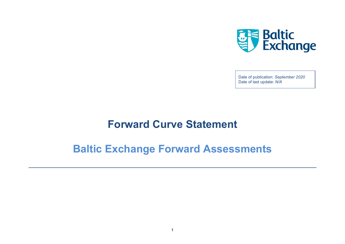

Date of publication: *September 2020* Date of last update: *N/A*

## **Forward Curve Statement**

# **Baltic Exchange Forward Assessments**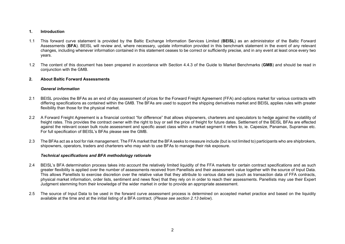## **1. Introduction**

- 1.1 This forward curve statement is provided by the Baltic Exchange Information Services Limited (**BEISL**) as an administrator of the Baltic Forward Assessments (**BFA**). BEISL will review and, where necessary, update information provided in this benchmark statement in the event of any relevant changes, including whenever information contained in this statement ceases to be correct or sufficiently precise, and in any event at least once every two years.
- 1.2 The content of this document has been prepared in accordance with Section 4.4.3 of the Guide to Market Benchmarks (**GMB**) and should be read in conjunction with the GMB.

## **2. About Baltic Forward Assessments**

## *General information*

- 2.1 BEISL provides the BFAs as an end of day assessment of prices for the Forward Freight Agreement (FFA) and options market for various contracts with differing specifications as contained within the GMB. The BFAs are used to support the shipping derivatives market and BEISL applies rules with greater flexibility than those for the physical market.
- 2.2 A Forward Freight Agreement is a financial contract "for difference" that allows shipowners, charterers and speculators to hedge against the volatility of freight rates. This provides the contract owner with the right to buy or sell the price of freight for future dates. Settlement of the BEISL BFAs are effected against the relevant ocean bulk route assessment and specific asset class within a market segment it refers to, ie. Capesize, Panamax, Supramax etc. For full specification of BEISL's BFAs please see the GMB.
- 2.3 The BFAs act as a tool for risk management. The FFA market that the BFA seeks to measure include (but is not limited to) participants who are shipbrokers, shipowners, operators, traders and charterers who may wish to use BFAs to manage their risk exposure.

#### *Technical specifications and BFA methodology rationale*

- 2.4 BEISL's BFA determination process takes into account the relatively limited liquidity of the FFA markets for certain contract specifications and as such greater flexibility is applied over the number of assessments received from Panellists and their assessment value together with the source of Input Data. This allows Panellists to exercise discretion over the relative value that they attribute to various data sets (such as transaction data of FFA contracts, physical market information, order lists, sentiment and news flow) that they rely on in order to reach their assessments. Panellists may use their Expert Judgment stemming from their knowledge of the wider market in order to provide an appropriate assessment.
- 2.5 The source of Input Data to be used in the forward curve assessment process is determined on accepted market practice and based on the liquidity available at the time and at the initial listing of a BFA contract. (*Please see section 2.13 below*).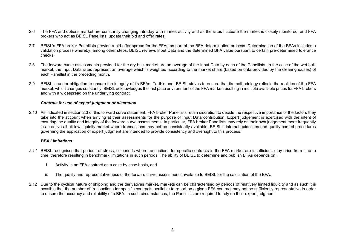- 2.6 The FFA and options market are constantly changing intraday with market activity and as the rates fluctuate the market is closely monitored, and FFA brokers who act as BEISL Panellists, update their bid and offer rates.
- 2.7 BEISL's FFA broker Panellists provide a bid-offer spread for the FFAs as part of the BFA determination process. Determination of the BFAs includes a validation process whereby, among other steps, BEISL reviews Input Data and the determined BFA value pursuant to certain pre-determined tolerance checks.
- 2.8 The forward curve assessments provided for the dry bulk market are an average of the Input Data by each of the Panellists. In the case of the wet bulk market, the Input Data rates represent an average which is weighted according to the market share (based on data provided by the clearinghouses) of each Panellist in the preceding month.
- 2.9 BEISL is under obligation to ensure the integrity of its BFAs. To this end, BEISL strives to ensure that its methodology reflects the realities of the FFA market, which changes constantly. BEISL acknowledges the fast pace environment of the FFA market resulting in multiple available prices for FFA brokers and with a widespread on the underlying contract.

#### *Controls for use of expert judgment or discretion*

2.10 As indicated in section 2.3 of this forward curve statement, FFA broker Panellists retain discretion to decide the respective importance of the factors they take into the account when arriving at their assessments for the purpose of Input Data contribution. Expert judgement is exercised with the intent of ensuring the quality and integrity of the forward curve assessments. In particular, FFA broker Panellists may rely on their own judgement more frequently in an active albeit low liquidity market where transactions may not be consistently available. BEISL's internal guidelines and quality control procedures governing the application of expert judgment are intended to provide consistency and oversight to this process.

#### *BFA Limitations*

- *2.11* BEISL recognises that periods of stress, or periods when transactions for specific contracts in the FFA market are insufficient, may arise from time to time, therefore resulting in benchmark limitations in such periods. The ability of BEISL to determine and publish BFAs depends on:
	- i. Activity in an FFA contract on a case by case basis, and
	- ii. The quality and representativeness of the forward curve assessments available to BEISL for the calculation of the BFA.
- 2.12 Due to the cyclical nature of shipping and the derivatives market, markets can be characterised by periods of relatively limited liquidity and as such it is possible that the number of transactions for specific contracts available to report on a given FFA contract may not be sufficiently representative in order to ensure the accuracy and reliability of a BFA. In such circumstances, the Panellists are required to rely on their expert judgment.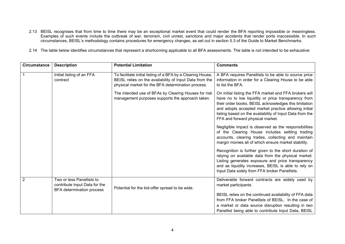- 2.13 BEISL recognises that from time to time there may be an exceptional market event that could render the BFA reporting impossible or meaningless. Examples of such events include the outbreak of war, terrorism, civil unrest, sanctions and major accidents that render ports inaccessible. In such circumstances, BEISL's methodology contains procedures for emergency changes, as set out in section 5.3 of the Guide to Market Benchmarks.
- 2.14 The table below identifies circumstances that represent a shortcoming applicable to all BFA assessments. The table is not intended to be exhaustive:

| <b>Circumstance</b> | <b>Description</b>                                                                             | <b>Potential Limitation</b>                                                                                                                                                  | <b>Comments</b>                                                                                                                                                                                                                                                                                                                |
|---------------------|------------------------------------------------------------------------------------------------|------------------------------------------------------------------------------------------------------------------------------------------------------------------------------|--------------------------------------------------------------------------------------------------------------------------------------------------------------------------------------------------------------------------------------------------------------------------------------------------------------------------------|
|                     | Initial listing of an FFA<br>contract                                                          | To facilitate initial listing of a BFA by a Clearing House,<br>BEISL relies on the availability of Input Data from the<br>physical market for the BFA determination process. | A BFA requires Panellists to be able to source price<br>information in order for a Clearing House to be able<br>to list the BFA.                                                                                                                                                                                               |
|                     |                                                                                                | The intended use of BFAs by Clearing Houses for risk<br>management purposes supports the approach taken.                                                                     | On initial listing the FFA market and FFA brokers will<br>have no to low liquidity or price transparency from<br>their order books. BEISL acknowledges this limitation<br>and adopts accepted market practice allowing initial<br>listing based on the availability of Input Data from the<br>FFA and forward physical market. |
|                     |                                                                                                |                                                                                                                                                                              | Negligible impact is observed as the responsibilities<br>of the Clearing House includes settling trading<br>accounts, clearing trades, collecting and maintain<br>margin monies all of which ensure market stability.                                                                                                          |
|                     |                                                                                                |                                                                                                                                                                              | Recognition is further given to the short duration of<br>relying on available data from the physical market.<br>Listing generates exposure and price transparency<br>and as liquidity increases, BEISL is able to rely on<br>Input Data solely from FFA broker Panellists.                                                     |
| $\overline{2}$      | Two or less Panellists to<br>contribute Input Data for the<br><b>BFA</b> determination process | Potential for the bid-offer spread to be wide.                                                                                                                               | Deliverable forward contracts are widely used by<br>market participants.                                                                                                                                                                                                                                                       |
|                     |                                                                                                |                                                                                                                                                                              | BEISL relies on the continued availability of FFA data<br>from FFA broker Panellists of BEISL. In the case of                                                                                                                                                                                                                  |
|                     |                                                                                                |                                                                                                                                                                              | a market or data source disruption resulting in two                                                                                                                                                                                                                                                                            |
|                     |                                                                                                |                                                                                                                                                                              | Panellist being able to contribute Input Data, BEISL                                                                                                                                                                                                                                                                           |